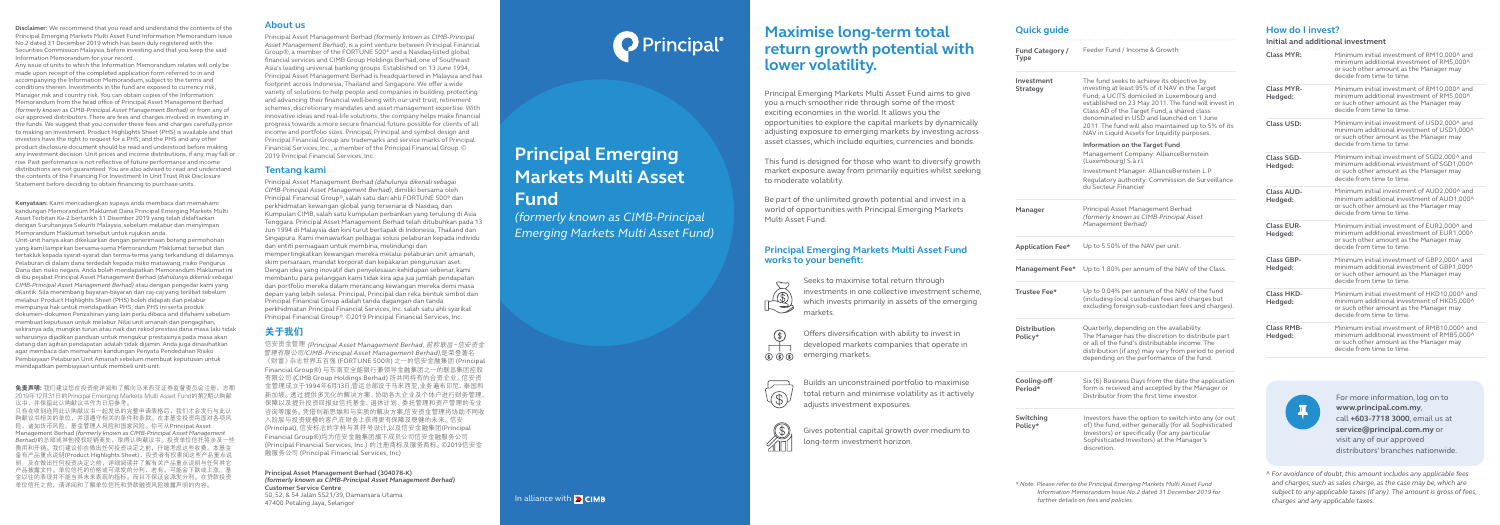^ *For avoidance of doubt, this amount includes any applicable fees and charges, such as sales charge, as the case may be, which are subject to any applicable taxes (if any). The amount is gross of fees, charges and any applicable taxes.*

# **Maximise long-term total return growth potential with lower volatility.**

Principal Emerging Markets Multi Asset Fund aims to give you a much smoother ride through some of the most exciting economies in the world. It allows you the opportunities to explore the capital markets by dynamically adjusting exposure to emerging markets by investing across asset classes, which include equities, currencies and bonds.

This fund is designed for those who want to diversify growth market exposure away from primarily equities whilst seeking to moderate volatility.

Be part of the unlimited growth potential and invest in a world of opportunities with Principal Emerging Markets Multi Asset Fund.



 $\circled{(*)}$  $\circledS$   $\circledS$   $\circledS$ 





### **Principal Emerging Markets Multi Asset Fund works to your benefit:**

# **Quick guide**

For more information, log on to **www.principal.com.my**, call **+603-7718 3000**, email us at **service@principal.com.my** or visit any of our approved distributors' branches nationwide.

**Disclaimer:** We recommend that you read and understand the contents of the Principal Emerging Markets Multi Asset Fund Information Memorandum Issue No.2 dated 31 December 2019 which has been duly registered with the Securities Commission Malaysia, before investing and that you keep the said Information Memorandum for your record.

Any issue of units to which the Information Memorandum relates will only be made upon receipt of the completed application form referred to in and accompanying the Information Memorandum, subject to the terms and conditions therein. Investments in the fund are exposed to currency risk, Manager risk and country risk. You can obtain copies of the Information Memorandum from the head office of Principal Asset Management Berhad *(formerly known as CIMB-Principal Asset Management Berhad)* or from any of our approved distributors. There are fees and charges involved in investing in the funds. We suggest that you consider these fees and charges carefully prior to making an investment. Product Highlights Sheet (PHS) is available and that investors have the right to request for a PHS; and the PHS and any other product disclosure document should be read and understood before making any investment decision. Unit prices and income distributions, if any, may fall or rise. Past performance is not reflective of future performance and income distributions are not guaranteed. You are also advised to read and understand the contents of the Financing For Investment In Unit Trust Risk Disclosure Statement before deciding to obtain financing to purchase units.

**Kenyataan:** Kami mencadangkan supaya anda membaca dan memahami kandungan Memorandum Maklumat Dana Principal Emerging Markets Multi Asset Terbitan Ke-2 bertarikh 31 Disember 2019 yang telah didaftarkan dengan Suruhanjaya Sekuriti Malaysia, sebelum melabur dan menyimpan Memorandum Maklumat tersebut untuk rujukan anda.

| Fund Category /<br>Type        | Feeder Fund / Income & Growth                                                                                                                                                                                                                                                                                                                                                                       |
|--------------------------------|-----------------------------------------------------------------------------------------------------------------------------------------------------------------------------------------------------------------------------------------------------------------------------------------------------------------------------------------------------------------------------------------------------|
| Investment<br>Strategy         | The fund seeks to achieve its objective by<br>investing at least 95% of it NAV in the Target<br>Fund; a UCITS domiciled in Luxembourg and<br>established on 23 May 2011. The fund will invest in<br>Class AD of the Target Fund, a shared class<br>denominated in USD and launched on 1 June<br>2011. The fund will also maintained up to 5% of its<br>NAV in Liquid Assets for liquidity purposes. |
|                                | <b>Information on the Target Fund</b><br>Management Company: AllianceBernstein<br>(Luxembourg) S.à.r.l<br>Investment Manager: AllianceBernstein L.P<br>Regulatory authority: Commission de Surveillance<br>du Secteur Financier                                                                                                                                                                     |
|                                |                                                                                                                                                                                                                                                                                                                                                                                                     |
| Manager                        | Principal Asset Management Berhad<br>(formerly known as CIMB-Principal Asset<br>Management Berhad)                                                                                                                                                                                                                                                                                                  |
| <b>Application Fee*</b>        | Up to 5.50% of the NAV per unit.                                                                                                                                                                                                                                                                                                                                                                    |
| Management Fee*                | Up to 1.80% per annum of the NAV of the Class.                                                                                                                                                                                                                                                                                                                                                      |
| Trustee Fee*                   | Up to 0.04% per annum of the NAV of the fund<br>(including local custodian fees and charges but<br>excluding foreign sub-custodian fees and charges).                                                                                                                                                                                                                                               |
| <b>Distribution</b><br>Policy* | Quarterly, depending on the availability.<br>The Manager has the discretion to distribute part<br>or all of the fund's distributable income. The<br>distribution (if any) may vary from period to period<br>depending on the performance of the fund.                                                                                                                                               |
| Cooling-off<br>Period*         | Six (6) Business Days from the date the application<br>form is received and accepted by the Manager or<br>Distributor from the first time investor.                                                                                                                                                                                                                                                 |
| Switching<br>Policy*           | Investors have the option to switch into any (or out<br>of) the fund, either generally (for all Sophisticated<br>Investors) or specifically (for any particular<br>Sophisticated Investors) at the Manager's<br>discretion.                                                                                                                                                                         |

Unit-unit hanya akan dikeluarkan dengan penerimaan borang permohonan yang kami lampirkan bersama-sama Memorandum Maklumat tersebut dan tertakluk kepada syarat-syarat dan terma-terma yang terkandung di dalamnya. Pelaburan di dalam dana terdedah kepada risiko matawang, risiko Pengurus Dana dan risiko negara. Anda boleh mendapatkan Memorandum Maklumat ini di ibu pejabat Principal Asset Management Berhad *(dahulunya dikenali sebagai CIMB-Principal Asset Management Berhad)* atau dengan pengedar kami yang dilantik. Sila menimbang bayaran-bayaran dan caj-caj yang terlibat sebelum melabur. Product Highlights Sheet (PHS) boleh didapati dan pelabur mempunyai hak untuk mendapatkan PHS; dan PHS ini serta produk dokumen–dokumen Penzahiran yang lain perlu dibaca and difahami sebelum membuat keputusan untuk melabur. Nilai unit amanah dan pengagihan, sekiranya ada, mungkin turun atau naik dan rekod prestasi dana masa lalu tidak seharusnya dijadikan panduan untuk mengukur prestasinya pada masa akan datang dan agihan pendapatan adalah tidak dijamin. Anda juga dinasihatkan agar membaca dan memahami kandungan Penyata Pendedahan Risiko Pembiayaan Pelaburan Unit Amanah sebelum membuat keputusan untuk mendapatkan pembiayaan untuk membeli unit-unit.

免责声明: 我们建议您在投资前详阅和了解向马来西亚证券监督委员会注册,志期 2019年12月31日的Principal Emerging Markets Multi Asset Fund的第2期认购献 议书,并保留此认购献议书作为日后参考。

只有在收到连同此认购献议书一起发出的完整申请表格后,我们才会发行与此认 购献议书相关的单位,并须遵守相关的条件和条款。在本基金投资将面对各项风 险,诸如货币风险、基金管理人风险和国家风险。你可从Principal Asset Management Berhad *(formerly known as CIMB-Principal Asset Management Berhad)*的总部或其他授权经销商处,取得认购献议书。投资单位信托将涉及一些 费用和开销。我们建议你在做出任何投资决定之前,仔细考虑这些收费。本基金 备有产品重点说明(Product Highlights Sheet), 投资者有权索阅这些产品重点说 明;及在做出任何投资决定之前,详细阅读并了解有关产品重点说明与任何其它 产品披露文件。单位信托的价格或可派发的分利,若有,可能会下跌或上涨。基 金以往的表现并不能当其未来表现的指标。而且不保证会派发分利。在贷款投资 单位信托之前,请详阅和了解单位信托和贷款融资风险披露声明的内容。

## **How do I invest?**

- Seeks to maximise total return through investments in one collective investment scheme, which invests primarily in assets of the emerging markets.
- Offers diversification with ability to invest in developed markets companies that operate in emerging markets.
- Builds an unconstrained portfolio to maximise total return and minimise volatility as it actively adjusts investment exposures.
- Gives potential capital growth over medium to long-term investment horizon.

| Class MYR:                   | Minimum initial investment of RM10,000^ and<br>minimum additional investment of RM5,000^<br>or such other amount as the Manager may<br>decide from time to time.   |
|------------------------------|--------------------------------------------------------------------------------------------------------------------------------------------------------------------|
| Class MYR-<br>Hedged:        | Minimum initial investment of RM10,000^ and<br>minimum additional investment of RM5,000^<br>or such other amount as the Manager may<br>decide from time to time    |
| <b>Class USD:</b>            | Minimum initial investment of USD2,000^ and<br>minimum additional investment of USD1,000^<br>or such other amount as the Manager may<br>decide from time to time.  |
| Class SGD-<br>Hedged:        | Minimum initial investment of SGD2,000^ and<br>minimum additional investment of SGD1,000^<br>or such other amount as the Manager may<br>decide from time to time   |
| Class AUD-<br>Hedged:        | Minimum initial investment of AUD2,000^ and<br>minimum additional investment of AUD1,000^<br>or such other amount as the Manager may<br>decide from time to time.  |
| Class EUR-<br>Hedged:        | Minimum initial investment of EUR2,000^ and<br>minimum additional investment of EUR1,000^<br>or such other amount as the Manager may<br>decide from time to time.  |
| Class GBP-<br>Hedged:        | Minimum initial investment of GBP2,000^ and<br>minimum additional investment of GBP1,000^<br>or such other amount as the Manager may<br>decide from time to time.  |
| Class HKD-<br>Hedged:        | Minimum initial investment of HKD10,000^ and<br>minimum additional investment of HKD5,000^<br>or such other amount as the Manager may<br>decide from time to time. |
| <b>Class RMB-</b><br>Hedged: | Minimum initial investment of RMB10,000^ and<br>minimum additional investment of RMB5,000^<br>or such other amount as the Manager may<br>decide from time to time. |

*\* Note: Please refer to the Principal Emerging Markets Multi Asset Fund Information Memorandum Issue No.2 dated 31 December 2019 for further details on fees and policies.*

**Initial and additional investment**

# **Principal Emerging Markets Multi Asset Fund**

*(formerly known as CIMB-Principal Emerging Markets Multi Asset Fund)*

#### **Tentang kami**

Principal Asset Management Berhad *(dahulunya dikenali sebagai CIMB-Principal Asset Management Berhad)*, dimiliki bersama oleh Principal Financial Group®, salah satu dari ahli FORTUNE 500® dan perkhidmatan kewangan global yang tersenarai di Nasdaq, dan Kumpulan CIMB, salah satu kumpulan perbankan yang terulung di Asia Tenggara. Principal Asset Management Berhad telah ditubuhkan pada 13 Jun 1994 di Malaysia dan kini turut bertapak di Indonesia, Thailand dan Singapura. Kami menawarkan pelbagai solusi pelaburan kepada individu dan entiti perniagaan untuk membina, melindungi dan mempertingkatkan kewangan mereka melalui pelaburan unit amanah, skim persaraan, mandat korporat dan kepakaran pengurusan aset. Dengan idea yang inovatif dan penyelesaian kehidupan sebenar, kami membantu para pelanggan kami tidak kira apa jua jumlah pendapatan dan portfolio mereka dalam merancang kewangan mereka demi masa depan yang lebih selesa. Principal, Principal dan reka bentuk simbol dan Principal Financial Group adalah tanda dagangan dan tanda perkhidmatan Principal Financial Services, Inc. salah satu ahli syarikat Principal Financial Group®. ©2019 Principal Financial Services, Inc.

#### **About us**

Principal Asset Management Berhad *(formerly known as CIMB-Principal Asset Management Berhad)*, is a joint venture between Principal Financial Group®, a member of the FORTUNE 500® and a Nasdaq-listed global financial services and CIMB Group Holdings Berhad, one of Southeast Asia's leading universal banking groups. Established on 13 June 1994, Principal Asset Management Berhad is headquartered in Malaysia and has footprint across Indonesia, Thailand and Singapore. We offer a wide variety of solutions to help people and companies in building, protecting and advancing their financial well-being with our unit trust, retirement schemes, discretionary mandates and asset management expertise. With innovative ideas and real-life solutions, the company helps make financial progress towards a more secure financial future possible for clients of all income and portfolio sizes. Principal, Principal and symbol design and Principal Financial Group are trademarks and service marks of Principal Financial Services, Inc., a member of the Principal Financial Group. © 2019 Principal Financial Services, Inc.

**Principal Asset Management Berhad (304078-K)** *(formerly known as CIMB-Principal Asset Management Berhad)* **Customer Service Centre**

50, 52, & 54 Jalan SS21/39, Damansara Utama 47400 Petaling Jaya, Selangor



信安资金管理 (Principal Asset Management Berhad, 前称联昌-信安资金 *管理有限公司/CIMB-Principal Asset Management Berhad)*,是荣登著名 《财富》杂志世界五百强 (FORTUNE 500®) 之一的信安金融集团 (Principal Financial Group®) 与东南亚全能银行兼领导金融集团之一的联昌集团控股 有限公司 (CIMB Group Holdings Berhad) 所共同持有的合资企业。信安资 金管理成立于1994年6月13日,营运总部设于马来西亚,业务遍布印尼、泰国和 新加坡。透过提供多元化的解决方案、协助各大企业及个体户进行财务管理、 保障以及提升投资回报如信托基金、退休计划、委托管理和资产管理的专业 咨询等服务。凭借创新思维和与实质的解决方案,信安资金管理将协助不同收 入阶层与投资规模的客户,在财务上获得更有保障及稳健的未来。信安 (Principal), 信安标志的字样与其符号设计,以及信安金融集团(Principal Financial Group®)均为信安金融集团旗下成员公司信安金融服务公司 (Principal Financial Services, Inc.) 的注册商标及服务商标。©2019信安金 融服务公司 (Principal Financial Services, Inc)

# 关于我们